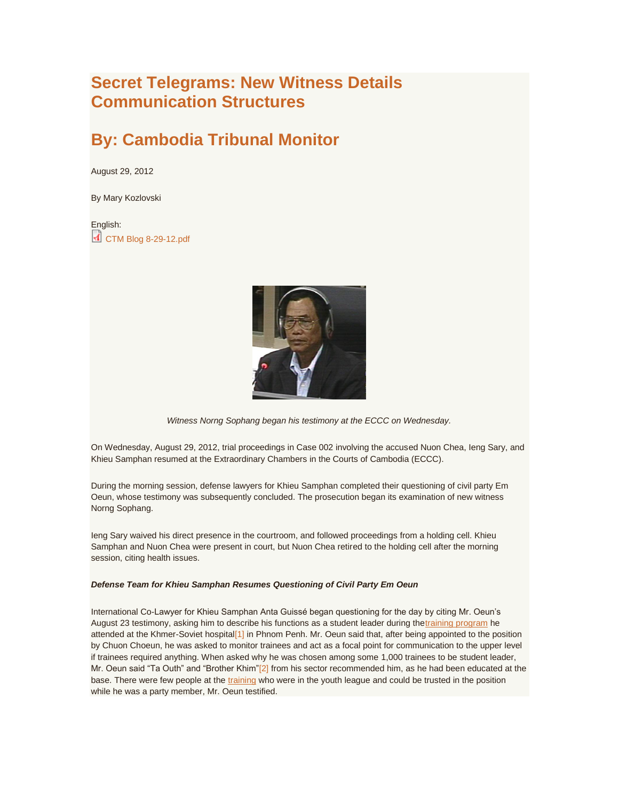## **Secret Telegrams: New Witness Details Communication Structures**

# **By: Cambodia Tribunal Monitor**

August 29, 2012

By Mary Kozlovski

English: **[CTM Blog 8-29-12.pdf](http://www.cambodiatribunal.org/sites/default/files/CTM%20Blog%208-29-12.pdf)** 



*Witness Norng Sophang began his testimony at the ECCC on Wednesday.*

On Wednesday, August 29, 2012, trial proceedings in Case 002 involving the accused Nuon Chea, Ieng Sary, and Khieu Samphan resumed at the Extraordinary Chambers in the Courts of Cambodia (ECCC).

During the morning session, defense lawyers for Khieu Samphan completed their questioning of civil party Em Oeun, whose testimony was subsequently concluded. The prosecution began its examination of new witness Norng Sophang.

Ieng Sary waived his direct presence in the courtroom, and followed proceedings from a holding cell. Khieu Samphan and Nuon Chea were present in court, but Nuon Chea retired to the holding cell after the morning session, citing health issues.

#### *Defense Team for Khieu Samphan Resumes Questioning of Civil Party Em Oeun*

International Co-Lawyer for Khieu Samphan Anta Guissé began questioning for the day by citing Mr. Oeun's August 23 testimony, asking him to describe his functions as a student leader during th[etraining program](http://www.cambodiatribunal.org/blog/2012/08/secret-telegrams-new-witness-details-communication-structures) he attended at the Khmer-Soviet hospital<sup>[1]</sup> in Phnom Penh. Mr. Oeun said that, after being appointed to the position by Chuon Choeun, he was asked to monitor trainees and act as a focal point for communication to the upper level if trainees required anything. When asked why he was chosen among some 1,000 trainees to be student leader, Mr. Oeun said "Ta Outh" and "Brother Khim["\[2\]](http://www.cambodiatribunal.org/blog/2012/08/secret-telegrams-new-witness-details-communication-structures#_ftn2) from his sector recommended him, as he had been educated at the base. There were few people at the [training](http://www.cambodiatribunal.org/blog/2012/08/secret-telegrams-new-witness-details-communication-structures) who were in the youth league and could be trusted in the position while he was a party member, Mr. Oeun testified.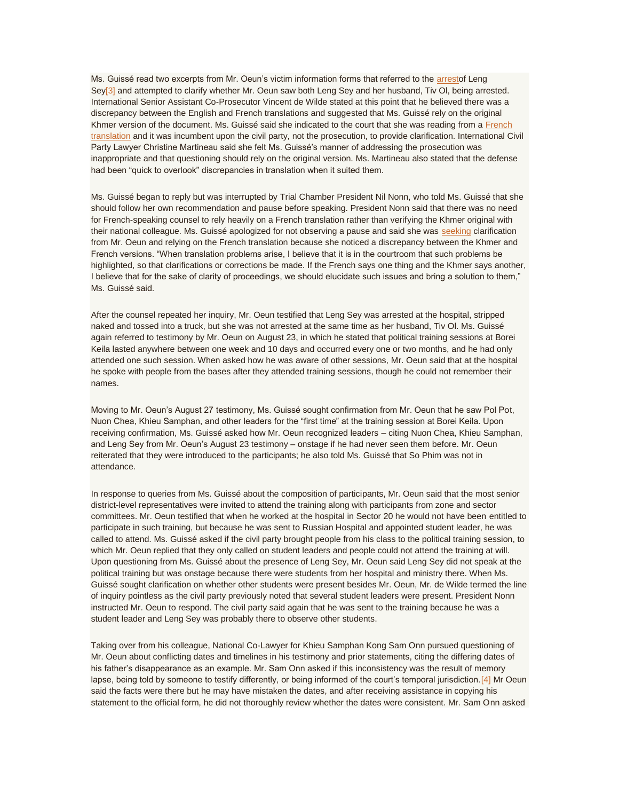Ms. Guissé read two excerpts from Mr. Oeun's victim information forms that referred to the [arresto](http://www.cambodiatribunal.org/blog/2012/08/secret-telegrams-new-witness-details-communication-structures)f Leng Sey<sup>[3]</sup> and attempted to clarify whether Mr. Oeun saw both Leng Sey and her husband, Tiv OI, being arrested. International Senior Assistant Co-Prosecutor Vincent de Wilde stated at this point that he believed there was a discrepancy between the English and French translations and suggested that Ms. Guissé rely on the original Khmer version of the document. Ms. Guissé said she indicated to the court that she was reading from a [French](http://www.cambodiatribunal.org/blog/2012/08/secret-telegrams-new-witness-details-communication-structures)  [translation](http://www.cambodiatribunal.org/blog/2012/08/secret-telegrams-new-witness-details-communication-structures) and it was incumbent upon the civil party, not the prosecution, to provide clarification. International Civil Party Lawyer Christine Martineau said she felt Ms. Guissé's manner of addressing the prosecution was inappropriate and that questioning should rely on the original version. Ms. Martineau also stated that the defense had been "quick to overlook" discrepancies in translation when it suited them.

Ms. Guissé began to reply but was interrupted by Trial Chamber President Nil Nonn, who told Ms. Guissé that she should follow her own recommendation and pause before speaking. President Nonn said that there was no need for French-speaking counsel to rely heavily on a French translation rather than verifying the Khmer original with their national colleague. Ms. Guissé apologized for not observing a pause and said she was [seeking](http://www.cambodiatribunal.org/blog/2012/08/secret-telegrams-new-witness-details-communication-structures) clarification from Mr. Oeun and relying on the French translation because she noticed a discrepancy between the Khmer and French versions. "When translation problems arise, I believe that it is in the courtroom that such problems be highlighted, so that clarifications or corrections be made. If the French says one thing and the Khmer says another, I believe that for the sake of clarity of proceedings, we should elucidate such issues and bring a solution to them," Ms. Guissé said.

After the counsel repeated her inquiry, Mr. Oeun testified that Leng Sey was arrested at the hospital, stripped naked and tossed into a truck, but she was not arrested at the same time as her husband, Tiv Ol. Ms. Guissé again referred to testimony by Mr. Oeun on August 23, in which he stated that political training sessions at Borei Keila lasted anywhere between one week and 10 days and occurred every one or two months, and he had only attended one such session. When asked how he was aware of other sessions, Mr. Oeun said that at the hospital he spoke with people from the bases after they attended training sessions, though he could not remember their names.

Moving to Mr. Oeun's August 27 testimony, Ms. Guissé sought confirmation from Mr. Oeun that he saw Pol Pot, Nuon Chea, Khieu Samphan, and other leaders for the "first time" at the training session at Borei Keila. Upon receiving confirmation, Ms. Guissé asked how Mr. Oeun recognized leaders – citing Nuon Chea, Khieu Samphan, and Leng Sey from Mr. Oeun's August 23 testimony – onstage if he had never seen them before. Mr. Oeun reiterated that they were introduced to the participants; he also told Ms. Guissé that So Phim was not in attendance.

In response to queries from Ms. Guissé about the composition of participants, Mr. Oeun said that the most senior district-level representatives were invited to attend the training along with participants from zone and sector committees. Mr. Oeun testified that when he worked at the hospital in Sector 20 he would not have been entitled to participate in such training, but because he was sent to Russian Hospital and appointed student leader, he was called to attend. Ms. Guissé asked if the civil party brought people from his class to the political training session, to which Mr. Oeun replied that they only called on student leaders and people could not attend the training at will. Upon questioning from Ms. Guissé about the presence of Leng Sey, Mr. Oeun said Leng Sey did not speak at the political training but was onstage because there were students from her hospital and ministry there. When Ms. Guissé sought clarification on whether other students were present besides Mr. Oeun, Mr. de Wilde termed the line of inquiry pointless as the civil party previously noted that several student leaders were present. President Nonn instructed Mr. Oeun to respond. The civil party said again that he was sent to the training because he was a student leader and Leng Sey was probably there to observe other students.

Taking over from his colleague, National Co-Lawyer for Khieu Samphan Kong Sam Onn pursued questioning of Mr. Oeun about conflicting dates and timelines in his testimony and prior statements, citing the differing dates of his father's disappearance as an example. Mr. Sam Onn asked if this inconsistency was the result of memory lapse, being told by someone to testify differently, or being informed of the court's temporal jurisdiction. [4] Mr Oeun said the facts were there but he may have mistaken the dates, and after receiving assistance in copying his statement to the official form, he did not thoroughly review whether the dates were consistent. Mr. Sam Onn asked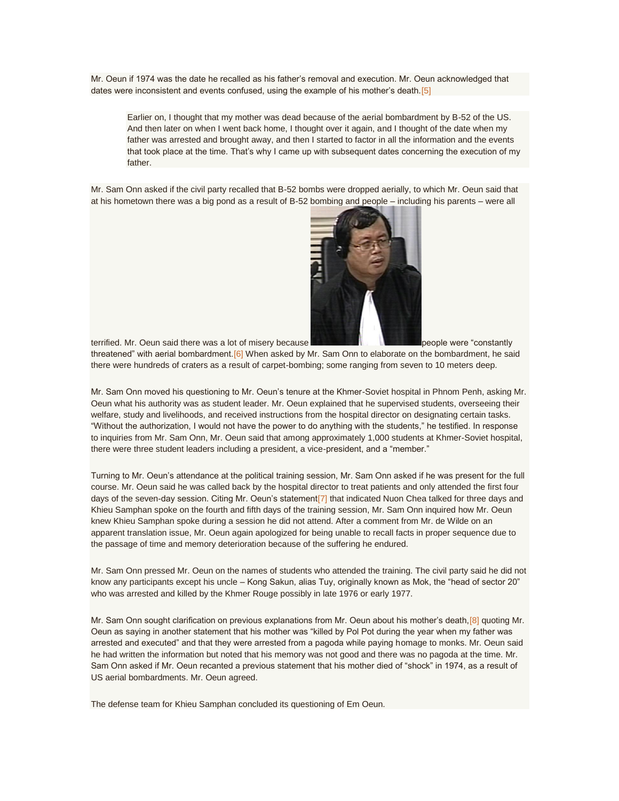Mr. Oeun if 1974 was the date he recalled as his father's removal and execution. Mr. Oeun acknowledged that dates were inconsistent and events confused, using the example of his mother's death. [5]

Earlier on, I thought that my mother was dead because of the aerial bombardment by B-52 of the US. And then later on when I went back home, I thought over it again, and I thought of the date when my father was arrested and brought away, and then I started to factor in all the information and the events that took place at the time. That's why I came up with subsequent dates concerning the execution of my father.

Mr. Sam Onn asked if the civil party recalled that B-52 bombs were dropped aerially, to which Mr. Oeun said that at his hometown there was a big pond as a result of B-52 bombing and people – including his parents – were all



terrified. Mr. Oeun said there was a lot of misery because **permit and the constant people were "constantly** 

threatened" with aerial bombardment[.\[6\]](http://www.cambodiatribunal.org/blog/2012/08/secret-telegrams-new-witness-details-communication-structures#_ftn6) When asked by Mr. Sam Onn to elaborate on the bombardment, he said there were hundreds of craters as a result of carpet-bombing; some ranging from seven to 10 meters deep.

Mr. Sam Onn moved his questioning to Mr. Oeun's tenure at the Khmer-Soviet hospital in Phnom Penh, asking Mr. Oeun what his authority was as student leader. Mr. Oeun explained that he supervised students, overseeing their welfare, study and livelihoods, and received instructions from the hospital director on designating certain tasks. "Without the authorization, I would not have the power to do anything with the students," he testified. In response to inquiries from Mr. Sam Onn, Mr. Oeun said that among approximately 1,000 students at Khmer-Soviet hospital, there were three student leaders including a president, a vice-president, and a "member."

Turning to Mr. Oeun's attendance at the political training session, Mr. Sam Onn asked if he was present for the full course. Mr. Oeun said he was called back by the hospital director to treat patients and only attended the first four days of the seven-day session. Citing Mr. Oeun's statement<sup>[7]</sup> that indicated Nuon Chea talked for three days and Khieu Samphan spoke on the fourth and fifth days of the training session, Mr. Sam Onn inquired how Mr. Oeun knew Khieu Samphan spoke during a session he did not attend. After a comment from Mr. de Wilde on an apparent translation issue, Mr. Oeun again apologized for being unable to recall facts in proper sequence due to the passage of time and memory deterioration because of the suffering he endured.

Mr. Sam Onn pressed Mr. Oeun on the names of students who attended the training. The civil party said he did not know any participants except his uncle – Kong Sakun, alias Tuy, originally known as Mok, the "head of sector 20" who was arrested and killed by the Khmer Rouge possibly in late 1976 or early 1977.

Mr. Sam Onn sought clarification on previous explanations from Mr. Oeun about his mother's death, [8] quoting Mr. Oeun as saying in another statement that his mother was "killed by Pol Pot during the year when my father was arrested and executed" and that they were arrested from a pagoda while paying homage to monks. Mr. Oeun said he had written the information but noted that his memory was not good and there was no pagoda at the time. Mr. Sam Onn asked if Mr. Oeun recanted a previous statement that his mother died of "shock" in 1974, as a result of US aerial bombardments. Mr. Oeun agreed.

The defense team for Khieu Samphan concluded its questioning of Em Oeun.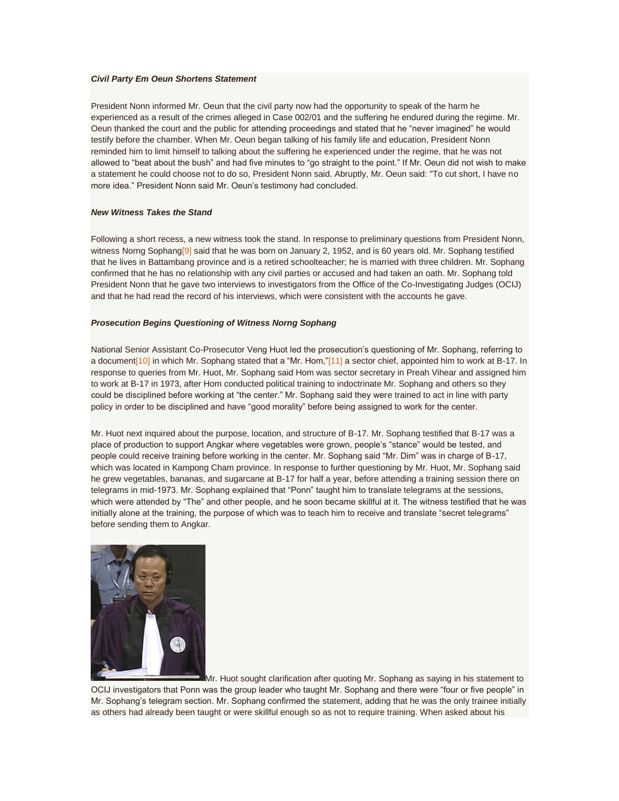#### *Civil Party Em Oeun Shortens Statement*

President Nonn informed Mr. Oeun that the civil party now had the opportunity to speak of the harm he experienced as a result of the crimes alleged in Case 002/01 and the suffering he endured during the regime. Mr. Oeun thanked the court and the public for attending proceedings and stated that he "never imagined" he would testify before the chamber. When Mr. Oeun began talking of his family life and education, President Nonn reminded him to limit himself to talking about the suffering he experienced under the regime, that he was not allowed to "beat about the bush" and had five minutes to "go straight to the point." If Mr. Oeun did not wish to make a statement he could choose not to do so, President Nonn said. Abruptly, Mr. Oeun said: "To cut short, I have no more idea." President Nonn said Mr. Oeun's testimony had concluded.

#### *New Witness Takes the Stand*

Following a short recess, a new witness took the stand. In response to preliminary questions from President Nonn, witness Norng Sophang<sup>[9]</sup> said that he was born on January 2, 1952, and is 60 years old. Mr. Sophang testified that he lives in Battambang province and is a retired schoolteacher; he is married with three children. Mr. Sophang confirmed that he has no relationship with any civil parties or accused and had taken an oath. Mr. Sophang told President Nonn that he gave two interviews to investigators from the Office of the Co-Investigating Judges (OCIJ) and that he had read the record of his interviews, which were consistent with the accounts he gave.

#### *Prosecution Begins Questioning of Witness Norng Sophang*

National Senior Assistant Co-Prosecutor Veng Huot led the prosecution's questioning of Mr. Sophang, referring to a document<sup>[10]</sup> in which Mr. Sophang stated that a "Mr. Hom,"<sup>[11]</sup> a sector chief, appointed him to work at B-17. In response to queries from Mr. Huot, Mr. Sophang said Hom was sector secretary in Preah Vihear and assigned him to work at B-17 in 1973, after Hom conducted political training to indoctrinate Mr. Sophang and others so they could be disciplined before working at "the center." Mr. Sophang said they were trained to act in line with party policy in order to be disciplined and have "good morality" before being assigned to work for the center.

Mr. Huot next inquired about the purpose, location, and structure of B-17. Mr. Sophang testified that B-17 was a place of production to support Angkar where vegetables were grown, people's "stance" would be tested, and people could receive training before working in the center. Mr. Sophang said "Mr. Dim" was in charge of B-17, which was located in Kampong Cham province. In response to further questioning by Mr. Huot, Mr. Sophang said he grew vegetables, bananas, and sugarcane at B-17 for half a year, before attending a training session there on telegrams in mid-1973. Mr. Sophang explained that "Ponn" taught him to translate telegrams at the sessions, which were attended by "The" and other people, and he soon became skillful at it. The witness testified that he was initially alone at the training, the purpose of which was to teach him to receive and translate "secret telegrams" before sending them to Angkar.



Mr. Huot sought clarification after quoting Mr. Sophang as saying in his statement to OCIJ investigators that Ponn was the group leader who taught Mr. Sophang and there were "four or five people" in Mr. Sophang's telegram section. Mr. Sophang confirmed the statement, adding that he was the only trainee initially as others had already been taught or were skillful enough so as not to require training. When asked about his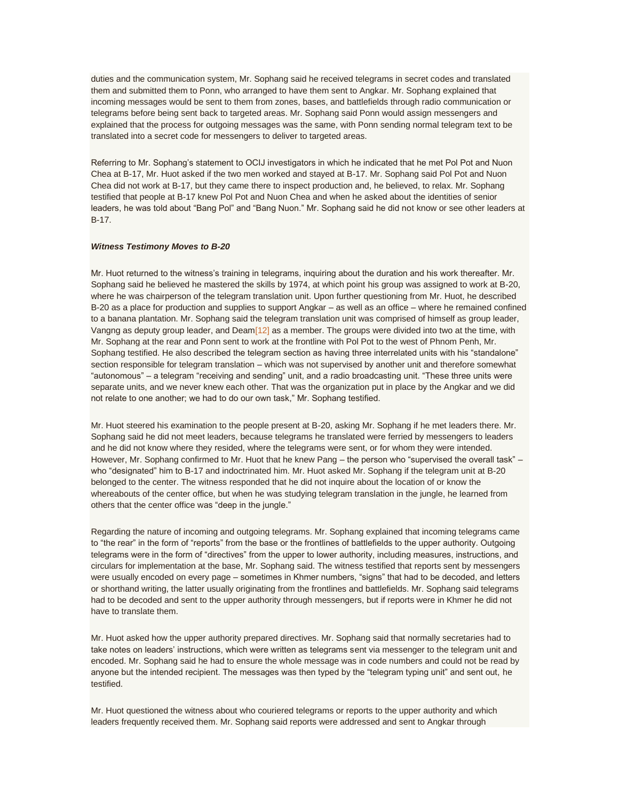duties and the communication system, Mr. Sophang said he received telegrams in secret codes and translated them and submitted them to Ponn, who arranged to have them sent to Angkar. Mr. Sophang explained that incoming messages would be sent to them from zones, bases, and battlefields through radio communication or telegrams before being sent back to targeted areas. Mr. Sophang said Ponn would assign messengers and explained that the process for outgoing messages was the same, with Ponn sending normal telegram text to be translated into a secret code for messengers to deliver to targeted areas.

Referring to Mr. Sophang's statement to OCIJ investigators in which he indicated that he met Pol Pot and Nuon Chea at B-17, Mr. Huot asked if the two men worked and stayed at B-17. Mr. Sophang said Pol Pot and Nuon Chea did not work at B-17, but they came there to inspect production and, he believed, to relax. Mr. Sophang testified that people at B-17 knew Pol Pot and Nuon Chea and when he asked about the identities of senior leaders, he was told about "Bang Pol" and "Bang Nuon." Mr. Sophang said he did not know or see other leaders at B-17.

#### *Witness Testimony Moves to B-20*

Mr. Huot returned to the witness's training in telegrams, inquiring about the duration and his work thereafter. Mr. Sophang said he believed he mastered the skills by 1974, at which point his group was assigned to work at B-20, where he was chairperson of the telegram translation unit. Upon further questioning from Mr. Huot, he described B-20 as a place for production and supplies to support Angkar – as well as an office – where he remained confined to a banana plantation. Mr. Sophang said the telegram translation unit was comprised of himself as group leader, Vangng as deputy group leader, and Dea[m\[12\]](http://www.cambodiatribunal.org/blog/2012/08/secret-telegrams-new-witness-details-communication-structures#_ftn12) as a member. The groups were divided into two at the time, with Mr. Sophang at the rear and Ponn sent to work at the frontline with Pol Pot to the west of Phnom Penh, Mr. Sophang testified. He also described the telegram section as having three interrelated units with his "standalone" section responsible for telegram translation – which was not supervised by another unit and therefore somewhat "autonomous" – a telegram "receiving and sending" unit, and a radio broadcasting unit. "These three units were separate units, and we never knew each other. That was the organization put in place by the Angkar and we did not relate to one another; we had to do our own task," Mr. Sophang testified.

Mr. Huot steered his examination to the people present at B-20, asking Mr. Sophang if he met leaders there. Mr. Sophang said he did not meet leaders, because telegrams he translated were ferried by messengers to leaders and he did not know where they resided, where the telegrams were sent, or for whom they were intended. However, Mr. Sophang confirmed to Mr. Huot that he knew Pang – the person who "supervised the overall task" – who "designated" him to B-17 and indoctrinated him. Mr. Huot asked Mr. Sophang if the telegram unit at B-20 belonged to the center. The witness responded that he did not inquire about the location of or know the whereabouts of the center office, but when he was studying telegram translation in the jungle, he learned from others that the center office was "deep in the jungle."

Regarding the nature of incoming and outgoing telegrams. Mr. Sophang explained that incoming telegrams came to "the rear" in the form of "reports" from the base or the frontlines of battlefields to the upper authority. Outgoing telegrams were in the form of "directives" from the upper to lower authority, including measures, instructions, and circulars for implementation at the base, Mr. Sophang said. The witness testified that reports sent by messengers were usually encoded on every page – sometimes in Khmer numbers, "signs" that had to be decoded, and letters or shorthand writing, the latter usually originating from the frontlines and battlefields. Mr. Sophang said telegrams had to be decoded and sent to the upper authority through messengers, but if reports were in Khmer he did not have to translate them.

Mr. Huot asked how the upper authority prepared directives. Mr. Sophang said that normally secretaries had to take notes on leaders' instructions, which were written as telegrams sent via messenger to the telegram unit and encoded. Mr. Sophang said he had to ensure the whole message was in code numbers and could not be read by anyone but the intended recipient. The messages was then typed by the "telegram typing unit" and sent out, he testified.

Mr. Huot questioned the witness about who couriered telegrams or reports to the upper authority and which leaders frequently received them. Mr. Sophang said reports were addressed and sent to Angkar through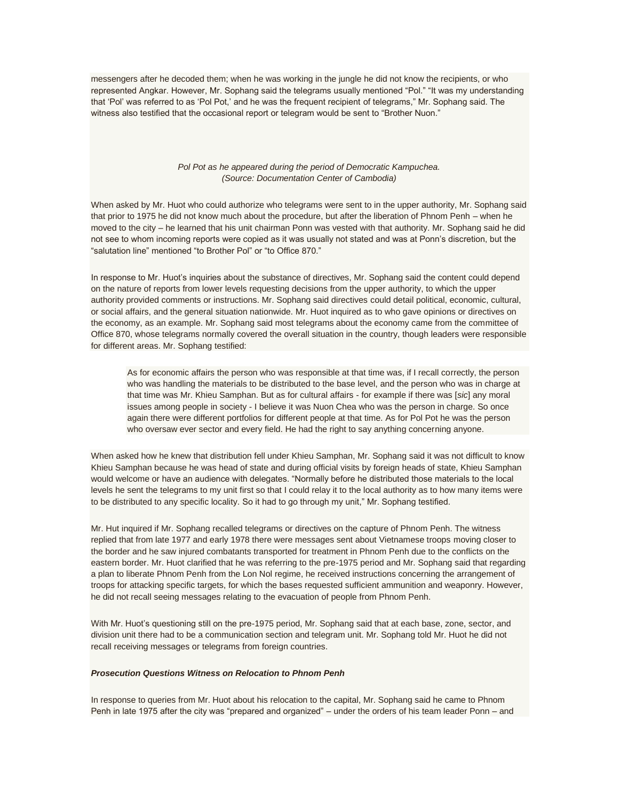messengers after he decoded them; when he was working in the jungle he did not know the recipients, or who represented Angkar. However, Mr. Sophang said the telegrams usually mentioned "Pol." "It was my understanding that 'Pol' was referred to as 'Pol Pot,' and he was the frequent recipient of telegrams," Mr. Sophang said. The witness also testified that the occasional report or telegram would be sent to "Brother Nuon."

### *Pol Pot as he appeared during the period of Democratic Kampuchea. (Source: Documentation Center of Cambodia)*

When asked by Mr. Huot who could authorize who telegrams were sent to in the upper authority, Mr. Sophang said that prior to 1975 he did not know much about the procedure, but after the liberation of Phnom Penh – when he moved to the city – he learned that his unit chairman Ponn was vested with that authority. Mr. Sophang said he did not see to whom incoming reports were copied as it was usually not stated and was at Ponn's discretion, but the "salutation line" mentioned "to Brother Pol" or "to Office 870."

In response to Mr. Huot's inquiries about the substance of directives, Mr. Sophang said the content could depend on the nature of reports from lower levels requesting decisions from the upper authority, to which the upper authority provided comments or instructions. Mr. Sophang said directives could detail political, economic, cultural, or social affairs, and the general situation nationwide. Mr. Huot inquired as to who gave opinions or directives on the economy, as an example. Mr. Sophang said most telegrams about the economy came from the committee of Office 870, whose telegrams normally covered the overall situation in the country, though leaders were responsible for different areas. Mr. Sophang testified:

As for economic affairs the person who was responsible at that time was, if I recall correctly, the person who was handling the materials to be distributed to the base level, and the person who was in charge at that time was Mr. Khieu Samphan. But as for cultural affairs - for example if there was [*sic*] any moral issues among people in society - I believe it was Nuon Chea who was the person in charge. So once again there were different portfolios for different people at that time. As for Pol Pot he was the person who oversaw ever sector and every field. He had the right to say anything concerning anyone.

When asked how he knew that distribution fell under Khieu Samphan, Mr. Sophang said it was not difficult to know Khieu Samphan because he was head of state and during official visits by foreign heads of state, Khieu Samphan would welcome or have an audience with delegates. "Normally before he distributed those materials to the local levels he sent the telegrams to my unit first so that I could relay it to the local authority as to how many items were to be distributed to any specific locality. So it had to go through my unit," Mr. Sophang testified.

Mr. Hut inquired if Mr. Sophang recalled telegrams or directives on the capture of Phnom Penh. The witness replied that from late 1977 and early 1978 there were messages sent about Vietnamese troops moving closer to the border and he saw injured combatants transported for treatment in Phnom Penh due to the conflicts on the eastern border. Mr. Huot clarified that he was referring to the pre-1975 period and Mr. Sophang said that regarding a plan to liberate Phnom Penh from the Lon Nol regime, he received instructions concerning the arrangement of troops for attacking specific targets, for which the bases requested sufficient ammunition and weaponry. However, he did not recall seeing messages relating to the evacuation of people from Phnom Penh.

With Mr. Huot's questioning still on the pre-1975 period, Mr. Sophang said that at each base, zone, sector, and division unit there had to be a communication section and telegram unit. Mr. Sophang told Mr. Huot he did not recall receiving messages or telegrams from foreign countries.

#### *Prosecution Questions Witness on Relocation to Phnom Penh*

In response to queries from Mr. Huot about his relocation to the capital, Mr. Sophang said he came to Phnom Penh in late 1975 after the city was "prepared and organized" – under the orders of his team leader Ponn – and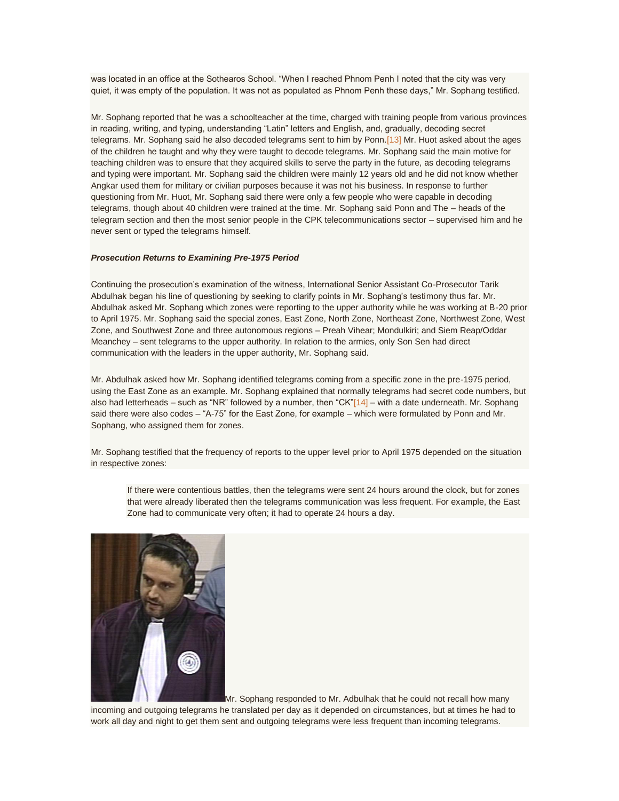was located in an office at the Sothearos School. "When I reached Phnom Penh I noted that the city was very quiet, it was empty of the population. It was not as populated as Phnom Penh these days," Mr. Sophang testified.

Mr. Sophang reported that he was a schoolteacher at the time, charged with training people from various provinces in reading, writing, and typing, understanding "Latin" letters and English, and, gradually, decoding secret telegrams. Mr. Sophang said he also decoded telegrams sent to him by Ponn.<sup>[13]</sup> Mr. Huot asked about the ages of the children he taught and why they were taught to decode telegrams. Mr. Sophang said the main motive for teaching children was to ensure that they acquired skills to serve the party in the future, as decoding telegrams and typing were important. Mr. Sophang said the children were mainly 12 years old and he did not know whether Angkar used them for military or civilian purposes because it was not his business. In response to further questioning from Mr. Huot, Mr. Sophang said there were only a few people who were capable in decoding telegrams, though about 40 children were trained at the time. Mr. Sophang said Ponn and The – heads of the telegram section and then the most senior people in the CPK telecommunications sector – supervised him and he never sent or typed the telegrams himself.

#### *Prosecution Returns to Examining Pre-1975 Period*

Continuing the prosecution's examination of the witness, International Senior Assistant Co-Prosecutor Tarik Abdulhak began his line of questioning by seeking to clarify points in Mr. Sophang's testimony thus far. Mr. Abdulhak asked Mr. Sophang which zones were reporting to the upper authority while he was working at B-20 prior to April 1975. Mr. Sophang said the special zones, East Zone, North Zone, Northeast Zone, Northwest Zone, West Zone, and Southwest Zone and three autonomous regions – Preah Vihear; Mondulkiri; and Siem Reap/Oddar Meanchey – sent telegrams to the upper authority. In relation to the armies, only Son Sen had direct communication with the leaders in the upper authority, Mr. Sophang said.

Mr. Abdulhak asked how Mr. Sophang identified telegrams coming from a specific zone in the pre-1975 period, using the East Zone as an example. Mr. Sophang explained that normally telegrams had secret code numbers, but also had letterheads – such as "NR" followed by a number, then "CK" $[14]$  – with a date underneath. Mr. Sophang said there were also codes – "A-75" for the East Zone, for example – which were formulated by Ponn and Mr. Sophang, who assigned them for zones.

Mr. Sophang testified that the frequency of reports to the upper level prior to April 1975 depended on the situation in respective zones:

If there were contentious battles, then the telegrams were sent 24 hours around the clock, but for zones that were already liberated then the telegrams communication was less frequent. For example, the East Zone had to communicate very often; it had to operate 24 hours a day.



Mr. Sophang responded to Mr. Adbulhak that he could not recall how many

incoming and outgoing telegrams he translated per day as it depended on circumstances, but at times he had to work all day and night to get them sent and outgoing telegrams were less frequent than incoming telegrams.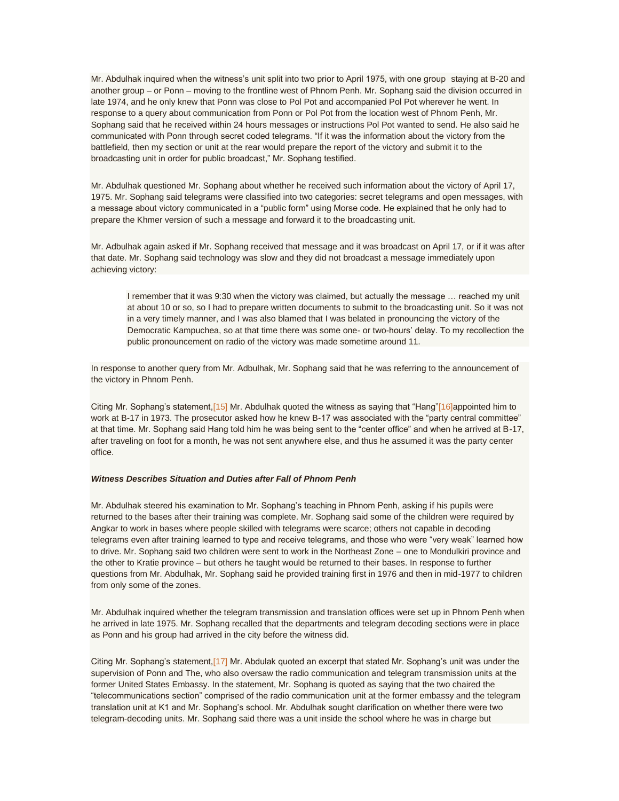Mr. Abdulhak inquired when the witness's unit split into two prior to April 1975, with one group staying at B-20 and another group – or Ponn – moving to the frontline west of Phnom Penh. Mr. Sophang said the division occurred in late 1974, and he only knew that Ponn was close to Pol Pot and accompanied Pol Pot wherever he went. In response to a query about communication from Ponn or Pol Pot from the location west of Phnom Penh, Mr. Sophang said that he received within 24 hours messages or instructions Pol Pot wanted to send. He also said he communicated with Ponn through secret coded telegrams. "If it was the information about the victory from the battlefield, then my section or unit at the rear would prepare the report of the victory and submit it to the broadcasting unit in order for public broadcast," Mr. Sophang testified.

Mr. Abdulhak questioned Mr. Sophang about whether he received such information about the victory of April 17, 1975. Mr. Sophang said telegrams were classified into two categories: secret telegrams and open messages, with a message about victory communicated in a "public form" using Morse code. He explained that he only had to prepare the Khmer version of such a message and forward it to the broadcasting unit.

Mr. Adbulhak again asked if Mr. Sophang received that message and it was broadcast on April 17, or if it was after that date. Mr. Sophang said technology was slow and they did not broadcast a message immediately upon achieving victory:

I remember that it was 9:30 when the victory was claimed, but actually the message … reached my unit at about 10 or so, so I had to prepare written documents to submit to the broadcasting unit. So it was not in a very timely manner, and I was also blamed that I was belated in pronouncing the victory of the Democratic Kampuchea, so at that time there was some one- or two-hours' delay. To my recollection the public pronouncement on radio of the victory was made sometime around 11.

In response to another query from Mr. Adbulhak, Mr. Sophang said that he was referring to the announcement of the victory in Phnom Penh.

Citing Mr. Sophang's statement, [15] Mr. Abdulhak quoted the witness as saying that "Hang["\[16\]a](http://www.cambodiatribunal.org/blog/2012/08/secret-telegrams-new-witness-details-communication-structures#_ftn16)ppointed him to work at B-17 in 1973. The prosecutor asked how he knew B-17 was associated with the "party central committee" at that time. Mr. Sophang said Hang told him he was being sent to the "center office" and when he arrived at B-17, after traveling on foot for a month, he was not sent anywhere else, and thus he assumed it was the party center office.

#### *Witness Describes Situation and Duties after Fall of Phnom Penh*

Mr. Abdulhak steered his examination to Mr. Sophang's teaching in Phnom Penh, asking if his pupils were returned to the bases after their training was complete. Mr. Sophang said some of the children were required by Angkar to work in bases where people skilled with telegrams were scarce; others not capable in decoding telegrams even after training learned to type and receive telegrams, and those who were "very weak" learned how to drive. Mr. Sophang said two children were sent to work in the Northeast Zone – one to Mondulkiri province and the other to Kratie province – but others he taught would be returned to their bases. In response to further questions from Mr. Abdulhak, Mr. Sophang said he provided training first in 1976 and then in mid-1977 to children from only some of the zones.

Mr. Abdulhak inquired whether the telegram transmission and translation offices were set up in Phnom Penh when he arrived in late 1975. Mr. Sophang recalled that the departments and telegram decoding sections were in place as Ponn and his group had arrived in the city before the witness did.

Citing Mr. Sophang's statement, [17] Mr. Abdulak quoted an excerpt that stated Mr. Sophang's unit was under the supervision of Ponn and The, who also oversaw the radio communication and telegram transmission units at the former United States Embassy. In the statement, Mr. Sophang is quoted as saying that the two chaired the "telecommunications section" comprised of the radio communication unit at the former embassy and the telegram translation unit at K1 and Mr. Sophang's school. Mr. Abdulhak sought clarification on whether there were two telegram-decoding units. Mr. Sophang said there was a unit inside the school where he was in charge but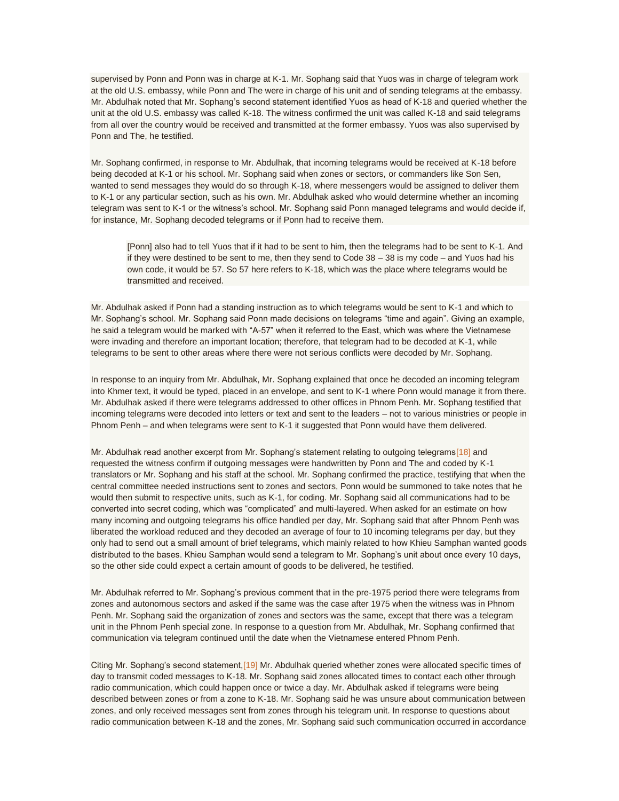supervised by Ponn and Ponn was in charge at K-1. Mr. Sophang said that Yuos was in charge of telegram work at the old U.S. embassy, while Ponn and The were in charge of his unit and of sending telegrams at the embassy. Mr. Abdulhak noted that Mr. Sophang's second statement identified Yuos as head of K-18 and queried whether the unit at the old U.S. embassy was called K-18. The witness confirmed the unit was called K-18 and said telegrams from all over the country would be received and transmitted at the former embassy. Yuos was also supervised by Ponn and The, he testified.

Mr. Sophang confirmed, in response to Mr. Abdulhak, that incoming telegrams would be received at K-18 before being decoded at K-1 or his school. Mr. Sophang said when zones or sectors, or commanders like Son Sen, wanted to send messages they would do so through K-18, where messengers would be assigned to deliver them to K-1 or any particular section, such as his own. Mr. Abdulhak asked who would determine whether an incoming telegram was sent to K-1 or the witness's school. Mr. Sophang said Ponn managed telegrams and would decide if, for instance, Mr. Sophang decoded telegrams or if Ponn had to receive them.

[Ponn] also had to tell Yuos that if it had to be sent to him, then the telegrams had to be sent to K-1. And if they were destined to be sent to me, then they send to Code 38 – 38 is my code – and Yuos had his own code, it would be 57. So 57 here refers to K-18, which was the place where telegrams would be transmitted and received.

Mr. Abdulhak asked if Ponn had a standing instruction as to which telegrams would be sent to K-1 and which to Mr. Sophang's school. Mr. Sophang said Ponn made decisions on telegrams "time and again". Giving an example, he said a telegram would be marked with "A-57" when it referred to the East, which was where the Vietnamese were invading and therefore an important location; therefore, that telegram had to be decoded at K-1, while telegrams to be sent to other areas where there were not serious conflicts were decoded by Mr. Sophang.

In response to an inquiry from Mr. Abdulhak, Mr. Sophang explained that once he decoded an incoming telegram into Khmer text, it would be typed, placed in an envelope, and sent to K-1 where Ponn would manage it from there. Mr. Abdulhak asked if there were telegrams addressed to other offices in Phnom Penh. Mr. Sophang testified that incoming telegrams were decoded into letters or text and sent to the leaders – not to various ministries or people in Phnom Penh – and when telegrams were sent to K-1 it suggested that Ponn would have them delivered.

Mr. Abdulhak read another excerpt from Mr. Sophang's statement relating to outgoing telegrams<sup>[18]</sup> and requested the witness confirm if outgoing messages were handwritten by Ponn and The and coded by K-1 translators or Mr. Sophang and his staff at the school. Mr. Sophang confirmed the practice, testifying that when the central committee needed instructions sent to zones and sectors, Ponn would be summoned to take notes that he would then submit to respective units, such as K-1, for coding. Mr. Sophang said all communications had to be converted into secret coding, which was "complicated" and multi-layered. When asked for an estimate on how many incoming and outgoing telegrams his office handled per day, Mr. Sophang said that after Phnom Penh was liberated the workload reduced and they decoded an average of four to 10 incoming telegrams per day, but they only had to send out a small amount of brief telegrams, which mainly related to how Khieu Samphan wanted goods distributed to the bases. Khieu Samphan would send a telegram to Mr. Sophang's unit about once every 10 days, so the other side could expect a certain amount of goods to be delivered, he testified.

Mr. Abdulhak referred to Mr. Sophang's previous comment that in the pre-1975 period there were telegrams from zones and autonomous sectors and asked if the same was the case after 1975 when the witness was in Phnom Penh. Mr. Sophang said the organization of zones and sectors was the same, except that there was a telegram unit in the Phnom Penh special zone. In response to a question from Mr. Abdulhak, Mr. Sophang confirmed that communication via telegram continued until the date when the Vietnamese entered Phnom Penh.

Citing Mr. Sophang's second statement, [19] Mr. Abdulhak queried whether zones were allocated specific times of day to transmit coded messages to K-18. Mr. Sophang said zones allocated times to contact each other through radio communication, which could happen once or twice a day. Mr. Abdulhak asked if telegrams were being described between zones or from a zone to K-18. Mr. Sophang said he was unsure about communication between zones, and only received messages sent from zones through his telegram unit. In response to questions about radio communication between K-18 and the zones, Mr. Sophang said such communication occurred in accordance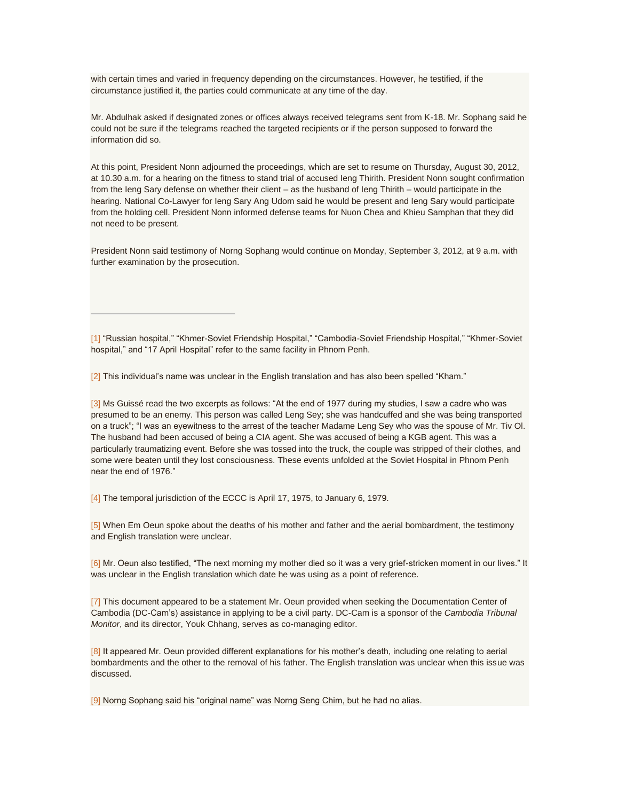with certain times and varied in frequency depending on the circumstances. However, he testified, if the circumstance justified it, the parties could communicate at any time of the day.

Mr. Abdulhak asked if designated zones or offices always received telegrams sent from K-18. Mr. Sophang said he could not be sure if the telegrams reached the targeted recipients or if the person supposed to forward the information did so.

At this point, President Nonn adjourned the proceedings, which are set to resume on Thursday, August 30, 2012, at 10.30 a.m. for a hearing on the fitness to stand trial of accused Ieng Thirith. President Nonn sought confirmation from the Ieng Sary defense on whether their client – as the husband of Ieng Thirith – would participate in the hearing. National Co-Lawyer for Ieng Sary Ang Udom said he would be present and Ieng Sary would participate from the holding cell. President Nonn informed defense teams for Nuon Chea and Khieu Samphan that they did not need to be present.

President Nonn said testimony of Norng Sophang would continue on Monday, September 3, 2012, at 9 a.m. with further examination by the prosecution.

[\[1\]](http://www.cambodiatribunal.org/blog/2012/08/secret-telegrams-new-witness-details-communication-structures#_ftnref) "Russian hospital," "Khmer-Soviet Friendship Hospital," "Cambodia-Soviet Friendship Hospital," "Khmer-Soviet hospital," and "17 April Hospital" refer to the same facility in Phnom Penh.

[\[2\]](http://www.cambodiatribunal.org/blog/2012/08/secret-telegrams-new-witness-details-communication-structures#_ftnref) This individual's name was unclear in the English translation and has also been spelled "Kham."

[\[3\]](http://www.cambodiatribunal.org/blog/2012/08/secret-telegrams-new-witness-details-communication-structures#_ftnref) Ms Guissé read the two excerpts as follows: "At the end of 1977 during my studies, I saw a cadre who was presumed to be an enemy. This person was called Leng Sey; she was handcuffed and she was being transported on a truck"; "I was an eyewitness to the arrest of the teacher Madame Leng Sey who was the spouse of Mr. Tiv Ol. The husband had been accused of being a CIA agent. She was accused of being a KGB agent. This was a particularly traumatizing event. Before she was tossed into the truck, the couple was stripped of their clothes, and some were beaten until they lost consciousness. These events unfolded at the Soviet Hospital in Phnom Penh near the end of 1976."

[\[4\]](http://www.cambodiatribunal.org/blog/2012/08/secret-telegrams-new-witness-details-communication-structures#_ftnref) The temporal jurisdiction of the ECCC is April 17, 1975, to January 6, 1979.

[\[5\]](http://www.cambodiatribunal.org/blog/2012/08/secret-telegrams-new-witness-details-communication-structures#_ftnref) When Em Oeun spoke about the deaths of his mother and father and the aerial bombardment, the testimony and English translation were unclear.

[\[6\]](http://www.cambodiatribunal.org/blog/2012/08/secret-telegrams-new-witness-details-communication-structures#_ftnref) Mr. Oeun also testified, "The next morning my mother died so it was a very grief-stricken moment in our lives." It was unclear in the English translation which date he was using as a point of reference.

[\[7\]](http://www.cambodiatribunal.org/blog/2012/08/secret-telegrams-new-witness-details-communication-structures#_ftnref) This document appeared to be a statement Mr. Oeun provided when seeking the Documentation Center of Cambodia (DC-Cam's) assistance in applying to be a civil party. DC-Cam is a sponsor of the *Cambodia Tribunal Monitor*, and its director, Youk Chhang, serves as co-managing editor.

[\[8\]](http://www.cambodiatribunal.org/blog/2012/08/secret-telegrams-new-witness-details-communication-structures#_ftnref) It appeared Mr. Oeun provided different explanations for his mother's death, including one relating to aerial bombardments and the other to the removal of his father. The English translation was unclear when this issue was discussed.

[\[9\]](http://www.cambodiatribunal.org/blog/2012/08/secret-telegrams-new-witness-details-communication-structures#_ftnref) Norng Sophang said his "original name" was Norng Seng Chim, but he had no alias.